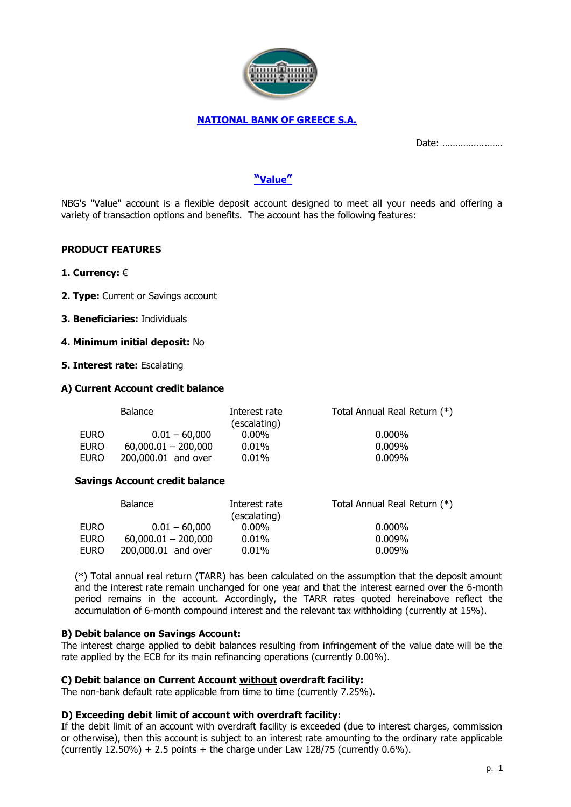

# **NATIONAL BANK OF GREECE S.A.**

Date: ……………..……

# **"Value"**

NBG's "Value" account is a flexible deposit account designed to meet all your needs and offering a variety of transaction options and benefits. The account has the following features:

### **PRODUCT FEATURES**

- **1. Currency:** €
- **2. Type:** Current or Savings account
- **3. Beneficiaries:** Individuals

#### **4. Minimum initial deposit:** No

**5. Interest rate:** Escalating

#### **A) Current Account credit balance**

| <b>Balance</b>        | Interest rate<br>(escalating) | Total Annual Real Return (*) |
|-----------------------|-------------------------------|------------------------------|
| $0.01 - 60,000$       | $0.00\%$                      | $0.000\%$                    |
| $60,000.01 - 200,000$ | $0.01\%$                      | $0.009\%$                    |
| 200,000.01 and over   | $0.01\%$                      | $0.009\%$                    |
|                       |                               |                              |

#### **Savings Account credit balance**

| Balance               | Interest rate<br>(escalating) | Total Annual Real Return (*) |
|-----------------------|-------------------------------|------------------------------|
| $0.01 - 60.000$       | $0.00\%$                      | $0.000\%$                    |
| $60,000.01 - 200,000$ | $0.01\%$                      | $0.009\%$                    |
| 200,000.01 and over   | $0.01\%$                      | $0.009\%$                    |
|                       |                               |                              |

(\*) Total annual real return (TARR) has been calculated on the assumption that the deposit amount and the interest rate remain unchanged for one year and that the interest earned over the 6-month period remains in the account. Accordingly, the TARR rates quoted hereinabove reflect the accumulation of 6-month compound interest and the relevant tax withholding (currently at 15%).

### **B) Debit balance on Savings Account:**

The interest charge applied to debit balances resulting from infringement of the value date will be the rate applied by the ECB for its main refinancing operations (currently 0.00%).

### **C) Debit balance on Current Account without overdraft facility:**

The non-bank default rate applicable from time to time (currently 7.25%).

#### **D) Exceeding debit limit of account with overdraft facility:**

If the debit limit of an account with overdraft facility is exceeded (due to interest charges, commission or otherwise), then this account is subject to an interest rate amounting to the ordinary rate applicable (currently  $12.50\%$ ) + 2.5 points + the charge under Law  $128/75$  (currently 0.6%).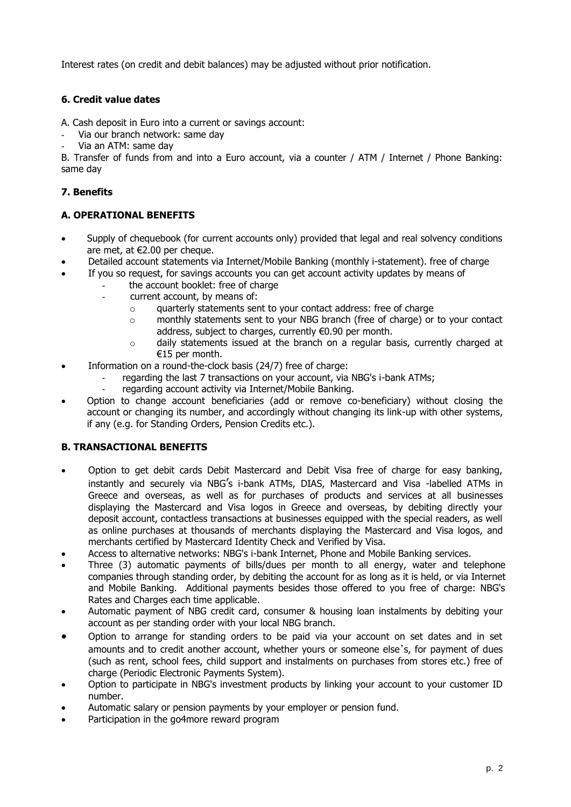Interest rates (on credit and debit balances) may be adjusted without prior notification.

# **6. Credit value dates**

A. Cash deposit in Euro into a current or savings account:

- Via our branch network: same day
- Via an ATM: same day

B. Transfer of funds from and into a Euro account, via a counter / ATM / Internet / Phone Banking: same day

# **7. Benefits**

# **A. OPERATIONAL BENEFITS**

- Supply of chequebook (for current accounts only) provided that legal and real solvency conditions are met, at €2.00 per cheque.
- Detailed account statements via Internet/Mobile Banking (monthly i-statement). free of charge
- If you so request, for savings accounts you can get account activity updates by means of
	- the account booklet: free of charge
	- current account, by means of:
		- o quarterly statements sent to your contact address: free of charge
		- $\circ$  monthly statements sent to your NBG branch (free of charge) or to your contact address, subject to charges, currently €0.90 per month.
		- $\circ$  daily statements issued at the branch on a regular basis, currently charged at €15 per month.
- Information on a round-the-clock basis (24/7) free of charge:
	- regarding the last 7 transactions on your account, via NBG's i-bank ATMs;
	- regarding account activity via Internet/Mobile Banking.
- Option to change account beneficiaries (add or remove co-beneficiary) without closing the account or changing its number, and accordingly without changing its link-up with other systems, if any (e.g. for Standing Orders, Pension Credits etc.).

## **B. TRANSACTIONAL BENEFITS**

- Option to get debit cards Debit Mastercard and Debit Visa free of charge for easy banking, instantly and securely via NBG's i-bank ATMs, DIAS, Mastercard and Visa -labelled ATMs in Greece and overseas, as well as for purchases of products and services at all businesses displaying the Mastercard and Visa logos in Greece and overseas, by debiting directly your deposit account, contactless transactions at businesses equipped with the special readers, as well as online purchases at thousands of merchants displaying the Mastercard and Visa logos, and merchants certified by Mastercard Identity Check and Verified by Visa.
- Access to alternative networks: NBG's i-bank Internet, Phone and Mobile Banking services.
- Three (3) automatic payments of bills/dues per month to all energy, water and telephone companies through standing order, by debiting the account for as long as it is held, or via Internet and Mobile Banking. Additional payments besides those offered to you free of charge: NBG's Rates and Charges each time applicable.
- Automatic payment of NBG credit card, consumer & housing loan instalments by debiting your account as per standing order with your local NBG branch.
- Option to arrange for standing orders to be paid via your account on set dates and in set amounts and to credit another account, whether yours or someone else's, for payment of dues (such as rent, school fees, child support and instalments on purchases from stores etc.) free of charge (Periodic Electronic Payments System).
- Option to participate in NBG's investment products by linking your account to your customer ID number.
- Automatic salary or pension payments by your employer or pension fund.
- Participation in the go4more reward program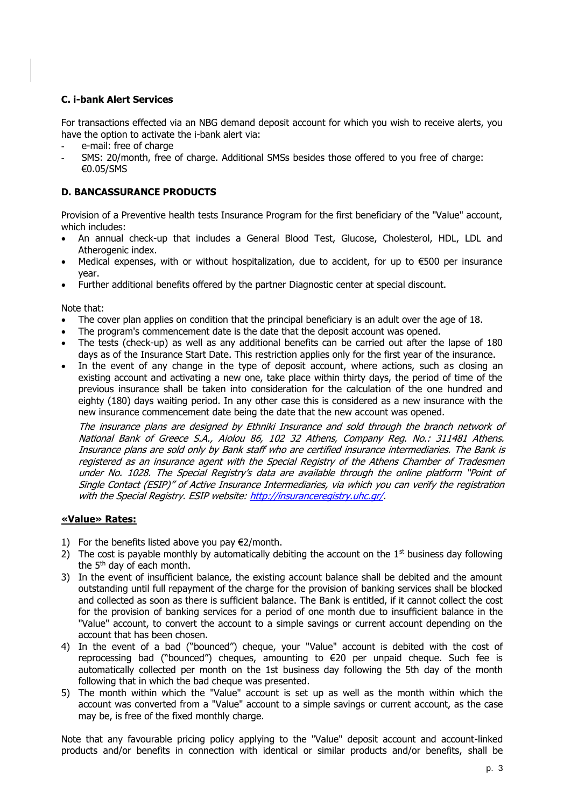## **C. i-bank Alert Services**

For transactions effected via an NBG demand deposit account for which you wish to receive alerts, you have the option to activate the i-bank alert via:

- e-mail: free of charge
- SMS: 20/month, free of charge. Additional SMSs besides those offered to you free of charge: €0.05/SMS

# **D. BANCASSURANCE PRODUCTS**

Provision of a Preventive health tests Insurance Program for the first beneficiary of the "Value" account, which includes:

- An annual check-up that includes a General Blood Test, Glucose, Cholesterol, HDL, LDL and Atherogenic index.
- Medical expenses, with or without hospitalization, due to accident, for up to €500 per insurance year.
- Further additional benefits offered by the partner Diagnostic center at special discount.

### Note that:

- The cover plan applies on condition that the principal beneficiary is an adult over the age of 18.
- The program's commencement date is the date that the deposit account was opened.
- The tests (check-up) as well as any additional benefits can be carried out after the lapse of 180 days as of the Insurance Start Date. This restriction applies only for the first year of the insurance.
- In the event of any change in the type of deposit account, where actions, such as closing an existing account and activating a new one, take place within thirty days, the period of time of the previous insurance shall be taken into consideration for the calculation of the one hundred and eighty (180) days waiting period. In any other case this is considered as a new insurance with the new insurance commencement date being the date that the new account was opened.

The insurance plans are designed by Ethniki Insurance and sold through the branch network of National Bank of Greece S.A., Aiolou 86, 102 32 Athens, Company Reg. No.: 311481 Athens. Insurance plans are sold only by Bank staff who are certified insurance intermediaries. The Bank is registered as an insurance agent with the Special Registry of the Athens Chamber of Tradesmen under No. 1028. The Special Registry's data are available through the online platform "Point of Single Contact (ESIP)" of Active Insurance Intermediaries, via which you can verify the registration with the Special Registry. ESIP website: [http://insuranceregistry.uhc.gr/.](http://insuranceregistry.uhc.gr/)

## **«Value» Rates:**

- 1) For the benefits listed above you pay  $\epsilon$ 2/month.
- 2) The cost is payable monthly by automatically debiting the account on the  $1<sup>st</sup>$  business day following the 5th day of each month.
- 3) In the event of insufficient balance, the existing account balance shall be debited and the amount outstanding until full repayment of the charge for the provision of banking services shall be blocked and collected as soon as there is sufficient balance. The Bank is entitled, if it cannot collect the cost for the provision of banking services for a period of one month due to insufficient balance in the "Value" account, to convert the account to a simple savings or current account depending on the account that has been chosen.
- 4) In the event of a bad ("bounced") cheque, your "Value" account is debited with the cost of reprocessing bad ("bounced") cheques, amounting to €20 per unpaid cheque. Such fee is automatically collected per month on the 1st business day following the 5th day of the month following that in which the bad cheque was presented.
- 5) The month within which the "Value" account is set up as well as the month within which the account was converted from a "Value" account to a simple savings or current account, as the case may be, is free of the fixed monthly charge.

Note that any favourable pricing policy applying to the "Value" deposit account and account-linked products and/or benefits in connection with identical or similar products and/or benefits, shall be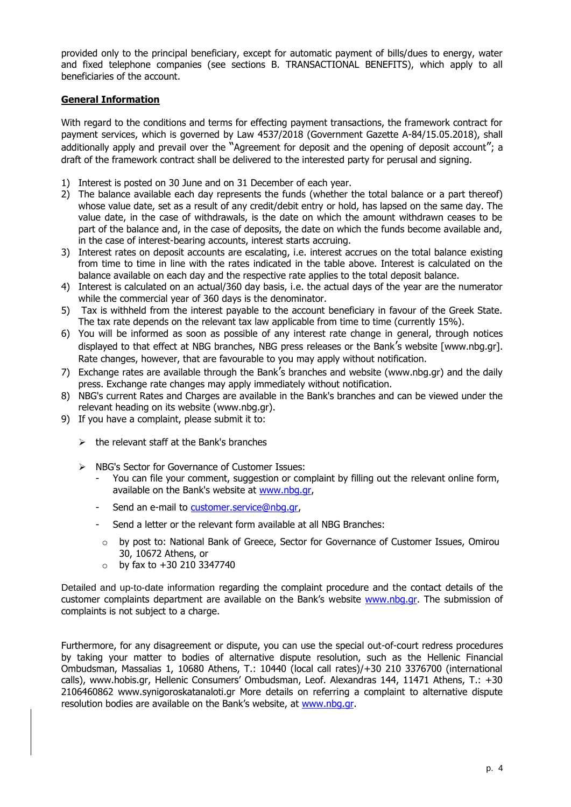provided only to the principal beneficiary, except for automatic payment of bills/dues to energy, water and fixed telephone companies (see sections B. TRANSACTIONAL BENEFITS), which apply to all beneficiaries of the account.

## **General Information**

With regard to the conditions and terms for effecting payment transactions, the framework contract for payment services, which is governed by Law 4537/2018 (Government Gazette A-84/15.05.2018), shall additionally apply and prevail over the "Agreement for deposit and the opening of deposit account"; a draft of the framework contract shall be delivered to the interested party for perusal and signing.

- 1) Interest is posted on 30 June and on 31 December of each year.
- 2) The balance available each day represents the funds (whether the total balance or a part thereof) whose value date, set as a result of any credit/debit entry or hold, has lapsed on the same day. The value date, in the case of withdrawals, is the date on which the amount withdrawn ceases to be part of the balance and, in the case of deposits, the date on which the funds become available and, in the case of interest-bearing accounts, interest starts accruing.
- 3) Interest rates on deposit accounts are escalating, i.e. interest accrues on the total balance existing from time to time in line with the rates indicated in the table above. Interest is calculated on the balance available on each day and the respective rate applies to the total deposit balance.
- 4) Interest is calculated on an actual/360 day basis, i.e. the actual days of the year are the numerator while the commercial year of 360 days is the denominator.
- 5) Tax is withheld from the interest payable to the account beneficiary in favour of the Greek State. The tax rate depends on the relevant tax law applicable from time to time (currently 15%).
- 6) You will be informed as soon as possible of any interest rate change in general, through notices displayed to that effect at NBG branches, NBG press releases or the Bank's website [www.nbg.gr]. Rate changes, however, that are favourable to you may apply without notification.
- 7) Exchange rates are available through the Bank's branches and website (www.nbg.gr) and the daily press. Exchange rate changes may apply immediately without notification.
- 8) NBG's current Rates and Charges are available in the Bank's branches and can be viewed under the relevant heading on its website [\(www.nbg.gr\).](http://www.nbg.gr)/)
- 9) If you have a complaint, please submit it to:
	- $\triangleright$  the relevant staff at the Bank's branches
	- ➢ NBG's Sector for Governance of Customer Issues:
		- You can file your comment, suggestion or complaint by filling out the relevant online form, available on the Bank's website at www.nbg.gr,
		- Send an e-mail to [customer.service@nbg.gr,](mailto:)
		- Send a letter or the relevant form available at all NBG Branches:
		- $\circ$  by post to: National Bank of Greece, Sector for Governance of Customer Issues, Omirou 30, 10672 Athens, or
		- $\circ$  by fax to +30 210 3347740

Detailed and up-to-date information regarding the complaint procedure and the contact details of the customer complaints department are available on the Bank's website [www.nbg.gr.](http://www.nbg.gr/) The submission of complaints is not subject to a charge.

Furthermore, for any disagreement or dispute, you can use the special out-of-court redress procedures by taking your matter to bodies of alternative dispute resolution, such as the Hellenic Financial Ombudsman, Massalias 1, 10680 Athens, Τ.: 10440 (local call rates)/+30 210 3376700 (international calls), www.hobis.gr, Hellenic Consumers' Ombudsman, Leof. Alexandras 144, 11471 Athens, T.: +30 2106460862 www.synigoroskatanaloti.gr More details on referring a complaint to alternative dispute resolution bodies are available on the Bank's website, at www.nbq.gr.